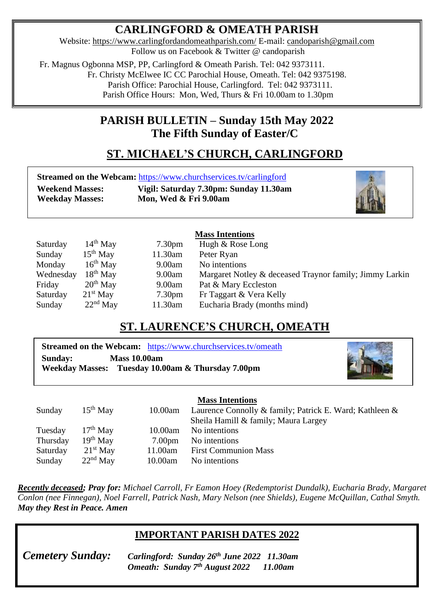## **CARLINGFORD & OMEATH PARISH**

Website:<https://www.carlingfordandomeathparish.com/> E-mail: [candoparish@gmail.com](mailto:candoparish@gmail.com) Follow us on Facebook & Twitter @ candoparish

 Fr. Magnus Ogbonna MSP, PP, Carlingford & Omeath Parish. Tel: 042 9373111. Fr. Christy McElwee IC CC Parochial House, Omeath. Tel: 042 9375198. Parish Office: Parochial House, Carlingford. Tel: 042 9373111.

Parish Office Hours: Mon, Wed, Thurs & Fri 10.00am to 1.30pm

## **PARISH BULLETIN – Sunday 15th May 2022 The Fifth Sunday of Easter/C**

# **ST. MICHAEL'S CHURCH, CARLINGFORD**

**Streamed on the Webcam:** <https://www.churchservices.tv/carlingford> **Weekend Masses: Vigil: Saturday 7.30pm: Sunday 11.30am Weekday Masses: Mon, Wed & Fri 9.00am**



| <b>Mass Intentions</b> |            |                    |                                                         |  |  |  |
|------------------------|------------|--------------------|---------------------------------------------------------|--|--|--|
| Saturday               | $14th$ May | 7.30 <sub>pm</sub> | Hugh & Rose Long                                        |  |  |  |
| Sunday                 | $15th$ May | 11.30am            | Peter Ryan                                              |  |  |  |
| Monday                 | $16th$ May | 9.00am             | No intentions                                           |  |  |  |
| Wednesday              | $18th$ May | 9.00am             | Margaret Notley & deceased Traynor family; Jimmy Larkin |  |  |  |
| Friday                 | $20th$ May | 9.00am             | Pat & Mary Eccleston                                    |  |  |  |
| Saturday               | $21st$ May | 7.30 <sub>pm</sub> | Fr Taggart & Vera Kelly                                 |  |  |  |
| Sunday                 | $22nd$ May | 11.30am            | Eucharia Brady (months mind)                            |  |  |  |

### **ST. LAURENCE'S CHURCH, OMEATH**

|         |                     | <b>Streamed on the Webcam:</b> https://www.churchservices.tv/omeath |
|---------|---------------------|---------------------------------------------------------------------|
| Sunday: | <b>Mass 10.00am</b> |                                                                     |
|         |                     | Weekday Masses: Tuesday 10.00am & Thursday 7.00pm                   |



#### **Mass Intentions**

|          |            |                    | ттаазэ титептионз                                       |
|----------|------------|--------------------|---------------------------------------------------------|
| Sunday   | $15th$ May | 10.00am            | Laurence Connolly & family; Patrick E. Ward; Kathleen & |
|          |            |                    | Sheila Hamill & family; Maura Largey                    |
| Tuesday  | $17th$ May | 10.00am            | No intentions                                           |
| Thursday | $19th$ May | 7.00 <sub>pm</sub> | No intentions                                           |
| Saturday | $21st$ May | 11.00am            | <b>First Communion Mass</b>                             |
| Sunday   | $22nd$ May | 10.00am            | No intentions                                           |
|          |            |                    |                                                         |

*Recently deceased; Pray for: Michael Carroll, Fr Eamon Hoey (Redemptorist Dundalk), Eucharia Brady, Margaret Conlon (nee Finnegan), Noel Farrell, Patrick Nash, Mary Nelson (nee Shields), Eugene McQuillan, Cathal Smyth. May they Rest in Peace. Amen*  

### **IMPORTANT PARISH DATES 2022**

*Cemetery Sunday:* 

 **Weekday Mass: Mon - Sat 10.00am except Wednesday 7.30pm.** *Cemetery Sunday: Carlingford: Sunday 26th June 2022 11.30am Omeath: Sunday 7th August 2022 11.00am*